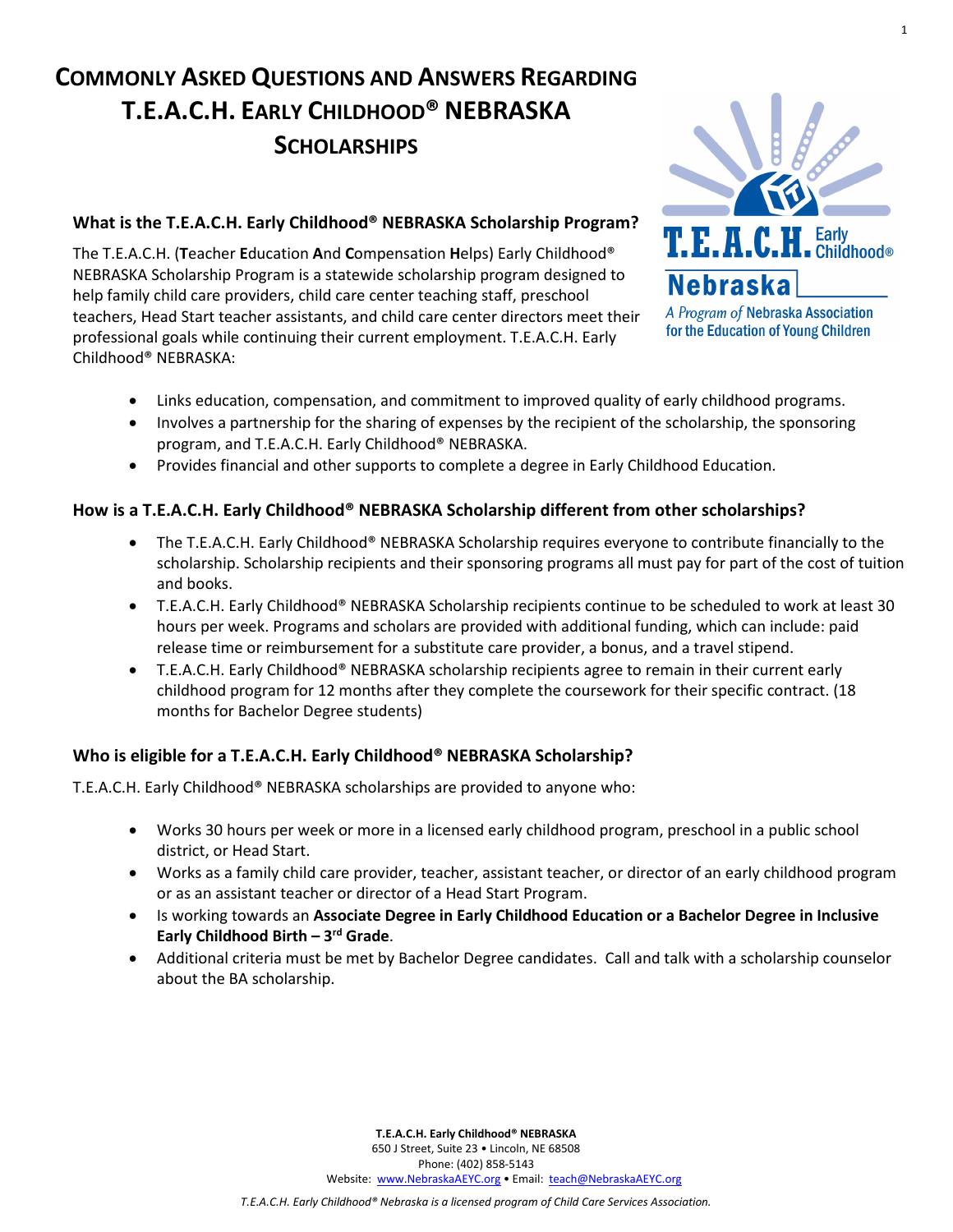# **COMMONLY ASKED QUESTIONS AND ANSWERS REGARDING T.E.A.C.H. EARLY CHILDHOOD® NEBRASKA SCHOLARSHIPS**



1

**What is the T.E.A.C.H. Early Childhood® NEBRASKA Scholarship Program?**

The T.E.A.C.H. (**T**eacher **E**ducation **A**nd **C**ompensation **H**elps) Early Childhood® NEBRASKA Scholarship Program is a statewide scholarship program designed to help family child care providers, child care center teaching staff, preschool teachers, Head Start teacher assistants, and child care center directors meet their professional goals while continuing their current employment. T.E.A.C.H. Early Childhood® NEBRASKA:

- A Program of Nebraska Association for the Education of Young Children
- Links education, compensation, and commitment to improved quality of early childhood programs.
- Involves a partnership for the sharing of expenses by the recipient of the scholarship, the sponsoring program, and T.E.A.C.H. Early Childhood® NEBRASKA.
- Provides financial and other supports to complete a degree in Early Childhood Education.

#### **How is a T.E.A.C.H. Early Childhood® NEBRASKA Scholarship different from other scholarships?**

- The T.E.A.C.H. Early Childhood® NEBRASKA Scholarship requires everyone to contribute financially to the scholarship. Scholarship recipients and their sponsoring programs all must pay for part of the cost of tuition and books.
- T.E.A.C.H. Early Childhood® NEBRASKA Scholarship recipients continue to be scheduled to work at least 30 hours per week. Programs and scholars are provided with additional funding, which can include: paid release time or reimbursement for a substitute care provider, a bonus, and a travel stipend.
- T.E.A.C.H. Early Childhood® NEBRASKA scholarship recipients agree to remain in their current early childhood program for 12 months after they complete the coursework for their specific contract. (18 months for Bachelor Degree students)

#### **Who is eligible for a T.E.A.C.H. Early Childhood® NEBRASKA Scholarship?**

T.E.A.C.H. Early Childhood® NEBRASKA scholarships are provided to anyone who:

- Works 30 hours per week or more in a licensed early childhood program, preschool in a public school district, or Head Start.
- Works as a family child care provider, teacher, assistant teacher, or director of an early childhood program or as an assistant teacher or director of a Head Start Program.
- Is working towards an **Associate Degree in Early Childhood Education or a Bachelor Degree in Inclusive Early Childhood Birth – 3rd Grade**.
- Additional criteria must be met by Bachelor Degree candidates. Call and talk with a scholarship counselor about the BA scholarship.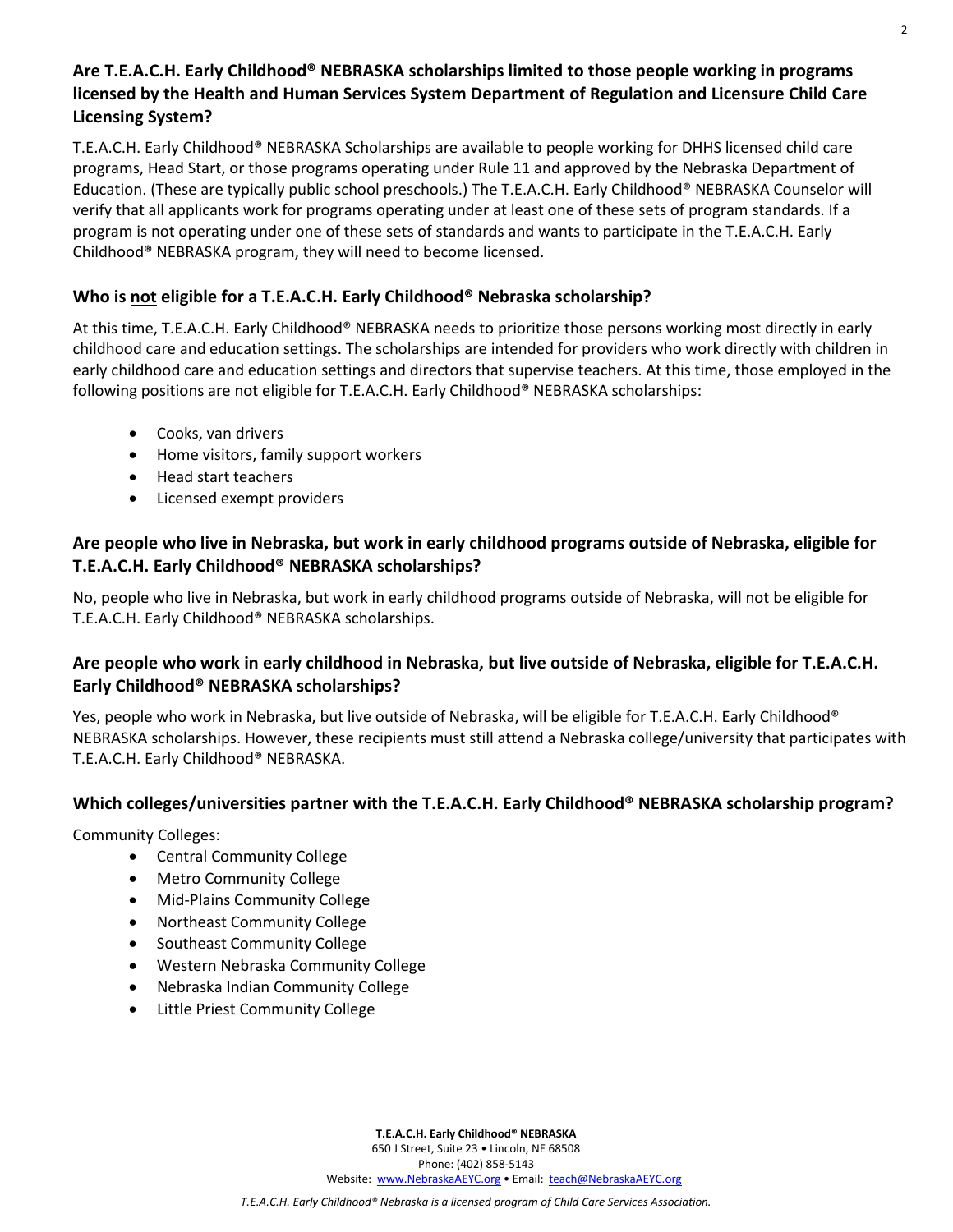# **Are T.E.A.C.H. Early Childhood® NEBRASKA scholarships limited to those people working in programs licensed by the Health and Human Services System Department of Regulation and Licensure Child Care Licensing System?**

T.E.A.C.H. Early Childhood® NEBRASKA Scholarships are available to people working for DHHS licensed child care programs, Head Start, or those programs operating under Rule 11 and approved by the Nebraska Department of Education. (These are typically public school preschools.) The T.E.A.C.H. Early Childhood® NEBRASKA Counselor will verify that all applicants work for programs operating under at least one of these sets of program standards. If a program is not operating under one of these sets of standards and wants to participate in the T.E.A.C.H. Early Childhood® NEBRASKA program, they will need to become licensed.

## **Who is not eligible for a T.E.A.C.H. Early Childhood® Nebraska scholarship?**

At this time, T.E.A.C.H. Early Childhood® NEBRASKA needs to prioritize those persons working most directly in early childhood care and education settings. The scholarships are intended for providers who work directly with children in early childhood care and education settings and directors that supervise teachers. At this time, those employed in the following positions are not eligible for T.E.A.C.H. Early Childhood® NEBRASKA scholarships:

- Cooks, van drivers
- Home visitors, family support workers
- Head start teachers
- Licensed exempt providers

# **Are people who live in Nebraska, but work in early childhood programs outside of Nebraska, eligible for T.E.A.C.H. Early Childhood® NEBRASKA scholarships?**

No, people who live in Nebraska, but work in early childhood programs outside of Nebraska, will not be eligible for T.E.A.C.H. Early Childhood® NEBRASKA scholarships.

# **Are people who work in early childhood in Nebraska, but live outside of Nebraska, eligible for T.E.A.C.H. Early Childhood® NEBRASKA scholarships?**

Yes, people who work in Nebraska, but live outside of Nebraska, will be eligible for T.E.A.C.H. Early Childhood® NEBRASKA scholarships. However, these recipients must still attend a Nebraska college/university that participates with T.E.A.C.H. Early Childhood® NEBRASKA.

# **Which colleges/universities partner with the T.E.A.C.H. Early Childhood® NEBRASKA scholarship program?**

Community Colleges:

- Central Community College
- Metro Community College
- Mid-Plains Community College
- Northeast Community College
- Southeast Community College
- Western Nebraska Community College
- Nebraska Indian Community College
- Little Priest Community College

**T.E.A.C.H. Early Childhood® NEBRASKA**

650 J Street, Suite 23 • Lincoln, NE 68508 Phone: (402) 858-5143

Website: [www.NebraskaAEYC.org](http://www.nebraskaaeyc.org/) • Email: [teach@NebraskaAEYC.org](mailto:teach@NebraskaAEYC.org)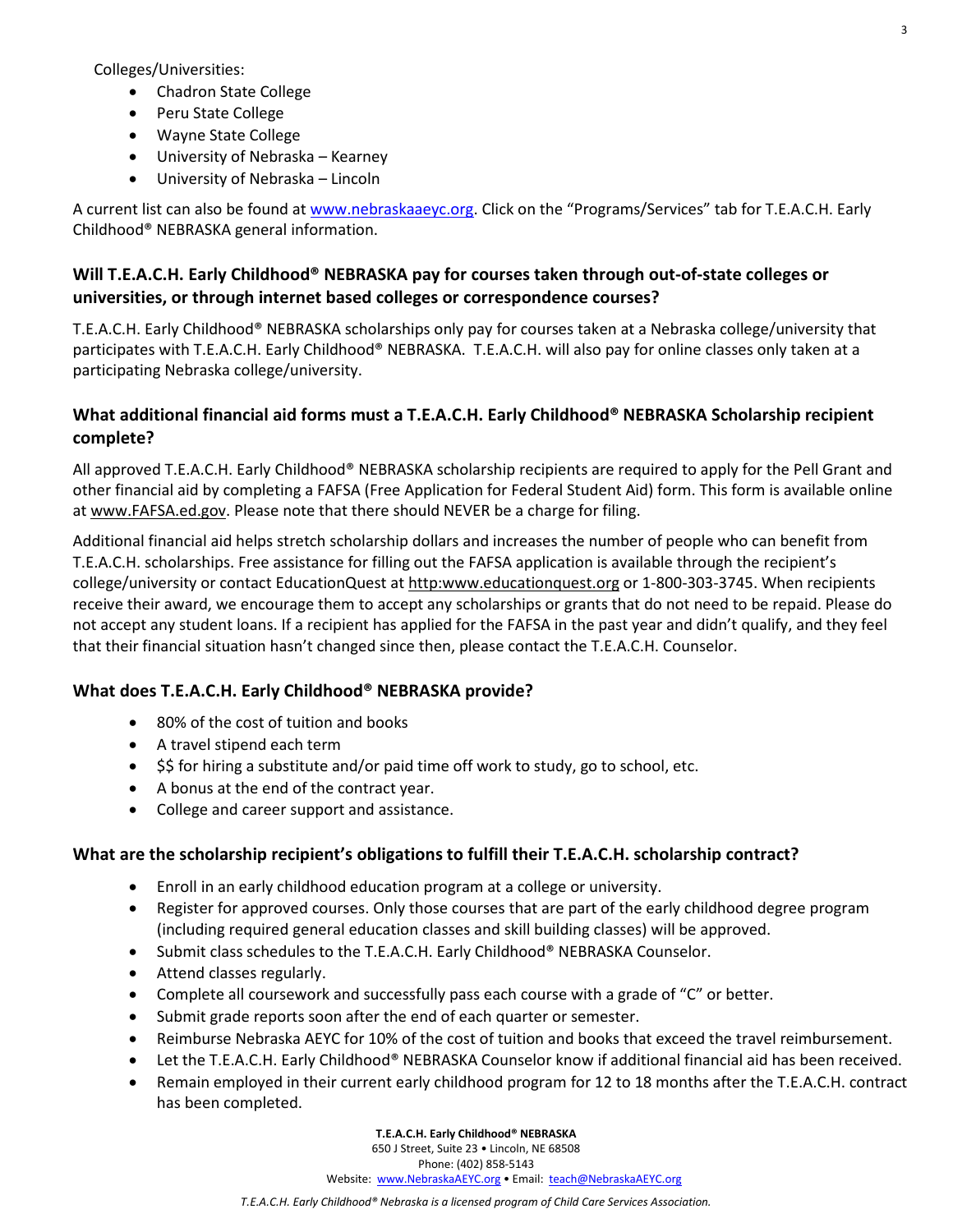Colleges/Universities:

- Chadron State College
- Peru State College
- Wayne State College
- University of Nebraska Kearney
- University of Nebraska Lincoln

A current list can also be found at [www.nebraskaaeyc.org.](http://www.nebraskaaeyc.org/) Click on the "Programs/Services" tab for T.E.A.C.H. Early Childhood® NEBRASKA general information.

#### **Will T.E.A.C.H. Early Childhood® NEBRASKA pay for courses taken through out-of-state colleges or universities, or through internet based colleges or correspondence courses?**

T.E.A.C.H. Early Childhood® NEBRASKA scholarships only pay for courses taken at a Nebraska college/university that participates with T.E.A.C.H. Early Childhood® NEBRASKA. T.E.A.C.H. will also pay for online classes only taken at a participating Nebraska college/university.

## **What additional financial aid forms must a T.E.A.C.H. Early Childhood® NEBRASKA Scholarship recipient complete?**

All approved T.E.A.C.H. Early Childhood® NEBRASKA scholarship recipients are required to apply for the Pell Grant and other financial aid by completing a FAFSA (Free Application for Federal Student Aid) form. This form is available online at www.FAFSA.ed.gov. Please note that there should NEVER be a charge for filing.

Additional financial aid helps stretch scholarship dollars and increases the number of people who can benefit from T.E.A.C.H. scholarships. Free assistance for filling out the FAFSA application is available through the recipient's college/university or contact EducationQuest at http:www.educationquest.org or 1-800-303-3745. When recipients receive their award, we encourage them to accept any scholarships or grants that do not need to be repaid. Please do not accept any student loans. If a recipient has applied for the FAFSA in the past year and didn't qualify, and they feel that their financial situation hasn't changed since then, please contact the T.E.A.C.H. Counselor.

#### **What does T.E.A.C.H. Early Childhood® NEBRASKA provide?**

- 80% of the cost of tuition and books
- A travel stipend each term
- \$\$ for hiring a substitute and/or paid time off work to study, go to school, etc.
- A bonus at the end of the contract year.
- College and career support and assistance.

#### **What are the scholarship recipient's obligations to fulfill their T.E.A.C.H. scholarship contract?**

- Enroll in an early childhood education program at a college or university.
- Register for approved courses. Only those courses that are part of the early childhood degree program (including required general education classes and skill building classes) will be approved.
- Submit class schedules to the T.E.A.C.H. Early Childhood® NEBRASKA Counselor.
- Attend classes regularly.
- Complete all coursework and successfully pass each course with a grade of "C" or better.
- Submit grade reports soon after the end of each quarter or semester.
- Reimburse Nebraska AEYC for 10% of the cost of tuition and books that exceed the travel reimbursement.
- Let the T.E.A.C.H. Early Childhood® NEBRASKA Counselor know if additional financial aid has been received.
- Remain employed in their current early childhood program for 12 to 18 months after the T.E.A.C.H. contract has been completed.

**T.E.A.C.H. Early Childhood® NEBRASKA**

650 J Street, Suite 23 • Lincoln, NE 68508

Phone: (402) 858-5143

Website: [www.NebraskaAEYC.org](http://www.nebraskaaeyc.org/) • Email: [teach@NebraskaAEYC.org](mailto:teach@NebraskaAEYC.org)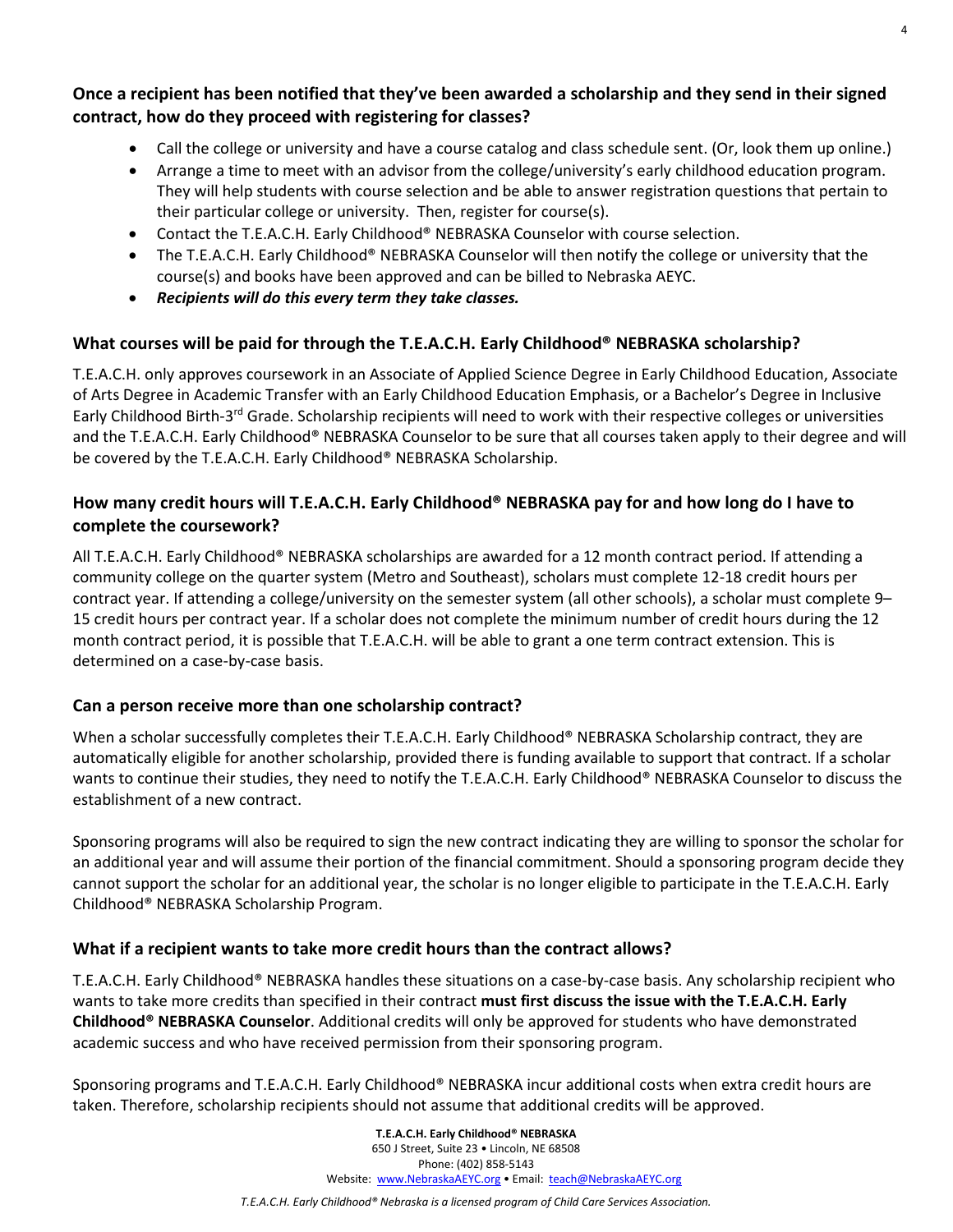## **Once a recipient has been notified that they've been awarded a scholarship and they send in their signed contract, how do they proceed with registering for classes?**

- Call the college or university and have a course catalog and class schedule sent. (Or, look them up online.)
- Arrange a time to meet with an advisor from the college/university's early childhood education program. They will help students with course selection and be able to answer registration questions that pertain to their particular college or university. Then, register for course(s).
- Contact the T.E.A.C.H. Early Childhood® NEBRASKA Counselor with course selection.
- The T.E.A.C.H. Early Childhood® NEBRASKA Counselor will then notify the college or university that the course(s) and books have been approved and can be billed to Nebraska AEYC.
- *Recipients will do this every term they take classes.*

# **What courses will be paid for through the T.E.A.C.H. Early Childhood® NEBRASKA scholarship?**

T.E.A.C.H. only approves coursework in an Associate of Applied Science Degree in Early Childhood Education, Associate of Arts Degree in Academic Transfer with an Early Childhood Education Emphasis, or a Bachelor's Degree in Inclusive Early Childhood Birth-3<sup>rd</sup> Grade. Scholarship recipients will need to work with their respective colleges or universities and the T.E.A.C.H. Early Childhood® NEBRASKA Counselor to be sure that all courses taken apply to their degree and will be covered by the T.E.A.C.H. Early Childhood® NEBRASKA Scholarship.

# **How many credit hours will T.E.A.C.H. Early Childhood® NEBRASKA pay for and how long do I have to complete the coursework?**

All T.E.A.C.H. Early Childhood® NEBRASKA scholarships are awarded for a 12 month contract period. If attending a community college on the quarter system (Metro and Southeast), scholars must complete 12-18 credit hours per contract year. If attending a college/university on the semester system (all other schools), a scholar must complete 9– 15 credit hours per contract year. If a scholar does not complete the minimum number of credit hours during the 12 month contract period, it is possible that T.E.A.C.H. will be able to grant a one term contract extension. This is determined on a case-by-case basis.

# **Can a person receive more than one scholarship contract?**

When a scholar successfully completes their T.E.A.C.H. Early Childhood® NEBRASKA Scholarship contract, they are automatically eligible for another scholarship, provided there is funding available to support that contract. If a scholar wants to continue their studies, they need to notify the T.E.A.C.H. Early Childhood® NEBRASKA Counselor to discuss the establishment of a new contract.

Sponsoring programs will also be required to sign the new contract indicating they are willing to sponsor the scholar for an additional year and will assume their portion of the financial commitment. Should a sponsoring program decide they cannot support the scholar for an additional year, the scholar is no longer eligible to participate in the T.E.A.C.H. Early Childhood® NEBRASKA Scholarship Program.

#### **What if a recipient wants to take more credit hours than the contract allows?**

T.E.A.C.H. Early Childhood® NEBRASKA handles these situations on a case-by-case basis. Any scholarship recipient who wants to take more credits than specified in their contract **must first discuss the issue with the T.E.A.C.H. Early Childhood® NEBRASKA Counselor**. Additional credits will only be approved for students who have demonstrated academic success and who have received permission from their sponsoring program.

Sponsoring programs and T.E.A.C.H. Early Childhood® NEBRASKA incur additional costs when extra credit hours are taken. Therefore, scholarship recipients should not assume that additional credits will be approved.

> **T.E.A.C.H. Early Childhood® NEBRASKA** 650 J Street, Suite 23 • Lincoln, NE 68508 Phone: (402) 858-5143 Website: [www.NebraskaAEYC.org](http://www.nebraskaaeyc.org/) • Email: [teach@NebraskaAEYC.org](mailto:teach@NebraskaAEYC.org)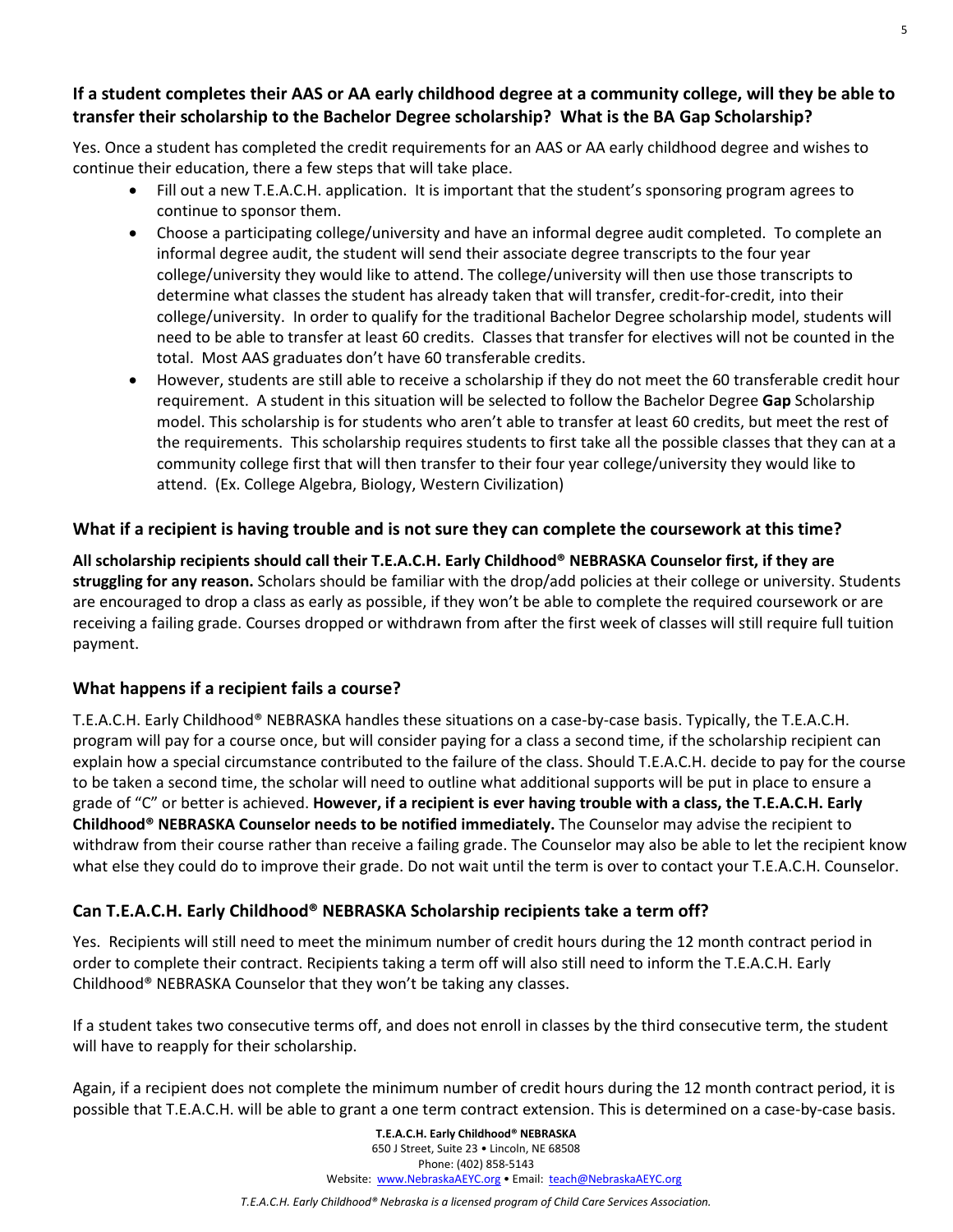## **If a student completes their AAS or AA early childhood degree at a community college, will they be able to transfer their scholarship to the Bachelor Degree scholarship? What is the BA Gap Scholarship?**

Yes. Once a student has completed the credit requirements for an AAS or AA early childhood degree and wishes to continue their education, there a few steps that will take place.

- Fill out a new T.E.A.C.H. application. It is important that the student's sponsoring program agrees to continue to sponsor them.
- Choose a participating college/university and have an informal degree audit completed. To complete an informal degree audit, the student will send their associate degree transcripts to the four year college/university they would like to attend. The college/university will then use those transcripts to determine what classes the student has already taken that will transfer, credit-for-credit, into their college/university. In order to qualify for the traditional Bachelor Degree scholarship model, students will need to be able to transfer at least 60 credits. Classes that transfer for electives will not be counted in the total. Most AAS graduates don't have 60 transferable credits.
- However, students are still able to receive a scholarship if they do not meet the 60 transferable credit hour requirement. A student in this situation will be selected to follow the Bachelor Degree **Gap** Scholarship model. This scholarship is for students who aren't able to transfer at least 60 credits, but meet the rest of the requirements. This scholarship requires students to first take all the possible classes that they can at a community college first that will then transfer to their four year college/university they would like to attend. (Ex. College Algebra, Biology, Western Civilization)

## **What if a recipient is having trouble and is not sure they can complete the coursework at this time?**

**All scholarship recipients should call their T.E.A.C.H. Early Childhood® NEBRASKA Counselor first, if they are struggling for any reason.** Scholars should be familiar with the drop/add policies at their college or university. Students are encouraged to drop a class as early as possible, if they won't be able to complete the required coursework or are receiving a failing grade. Courses dropped or withdrawn from after the first week of classes will still require full tuition payment.

#### **What happens if a recipient fails a course?**

T.E.A.C.H. Early Childhood® NEBRASKA handles these situations on a case-by-case basis. Typically, the T.E.A.C.H. program will pay for a course once, but will consider paying for a class a second time, if the scholarship recipient can explain how a special circumstance contributed to the failure of the class. Should T.E.A.C.H. decide to pay for the course to be taken a second time, the scholar will need to outline what additional supports will be put in place to ensure a grade of "C" or better is achieved. **However, if a recipient is ever having trouble with a class, the T.E.A.C.H. Early Childhood® NEBRASKA Counselor needs to be notified immediately.** The Counselor may advise the recipient to withdraw from their course rather than receive a failing grade. The Counselor may also be able to let the recipient know what else they could do to improve their grade. Do not wait until the term is over to contact your T.E.A.C.H. Counselor.

# **Can T.E.A.C.H. Early Childhood® NEBRASKA Scholarship recipients take a term off?**

Yes. Recipients will still need to meet the minimum number of credit hours during the 12 month contract period in order to complete their contract. Recipients taking a term off will also still need to inform the T.E.A.C.H. Early Childhood® NEBRASKA Counselor that they won't be taking any classes.

If a student takes two consecutive terms off, and does not enroll in classes by the third consecutive term, the student will have to reapply for their scholarship.

Again, if a recipient does not complete the minimum number of credit hours during the 12 month contract period, it is possible that T.E.A.C.H. will be able to grant a one term contract extension. This is determined on a case-by-case basis.

> **T.E.A.C.H. Early Childhood® NEBRASKA** 650 J Street, Suite 23 • Lincoln, NE 68508 Phone: (402) 858-5143 Website: [www.NebraskaAEYC.org](http://www.nebraskaaeyc.org/) • Email: [teach@NebraskaAEYC.org](mailto:teach@NebraskaAEYC.org)